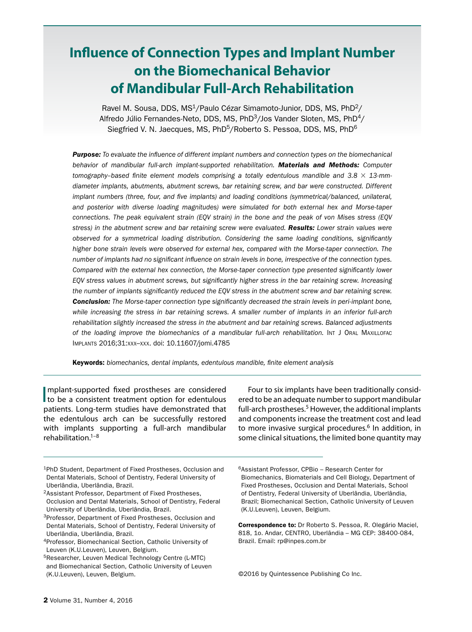# **Influence of Connection Types and Implant Number on the Biomechanical Behavior of Mandibular Full-Arch Rehabilitation**

Ravel M. Sousa, DDS, MS<sup>1</sup>/Paulo Cézar Simamoto-Junior, DDS, MS, PhD<sup>2</sup>/ Alfredo Júlio Fernandes-Neto, DDS, MS, PhD $3/$ Jos Vander Sloten, MS, PhD $4/$ Siegfried V. N. Jaecques, MS, PhD<sup>5</sup>/Roberto S. Pessoa, DDS, MS, PhD<sup>6</sup>

*Purpose: To evaluate the influence of different implant numbers and connection types on the biomechanical behavior of mandibular full-arch implant-supported rehabilitation. Materials and Methods: Computer tomography–based finite element models comprising a totally edentulous mandible and 3.8* × *13-mmdiameter implants, abutments, abutment screws, bar retaining screw, and bar were constructed. Different implant numbers (three, four, and five implants) and loading conditions (symmetrical/balanced, unilateral, and posterior with diverse loading magnitudes) were simulated for both external hex and Morse-taper connections. The peak equivalent strain (EQV strain) in the bone and the peak of von Mises stress (EQV stress) in the abutment screw and bar retaining screw were evaluated. Results: Lower strain values were observed for a symmetrical loading distribution. Considering the same loading conditions, significantly higher bone strain levels were observed for external hex, compared with the Morse-taper connection. The number of implants had no significant influence on strain levels in bone, irrespective of the connection types. Compared with the external hex connection, the Morse-taper connection type presented significantly lower EQV stress values in abutment screws, but significantly higher stress in the bar retaining screw. Increasing the number of implants significantly reduced the EQV stress in the abutment screw and bar retaining screw. Conclusion: The Morse-taper connection type significantly decreased the strain levels in peri-implant bone, while increasing the stress in bar retaining screws. A smaller number of implants in an inferior full-arch rehabilitation slightly increased the stress in the abutment and bar retaining screws. Balanced adjustments*  of the loading improve the biomechanics of a mandibular full-arch rehabilitation. Int J ORAL MAXILLOFAC Implants 2016;31:xxx–xxx. doi: 10.11607/jomi.4785

Keywords: *biomechanics, dental implants, edentulous mandible, finite element analysis*

Implant-supported fixed prostheses are considered<br>to be a consistent treatment option for edentulous mplant-supported fixed prostheses are considered patients. Long-term studies have demonstrated that the edentulous arch can be successfully restored with implants supporting a full-arch mandibular rehabilitation. $1-8$ 

Four to six implants have been traditionally considered to be an adequate number to support mandibular full-arch prostheses.<sup>5</sup> However, the additional implants and components increase the treatment cost and lead to more invasive surgical procedures.<sup>6</sup> In addition, in some clinical situations, the limited bone quantity may

©2016 by Quintessence Publishing Co Inc.

<sup>1</sup>PhD Student, Department of Fixed Prostheses, Occlusion and Dental Materials, School of Dentistry, Federal University of Uberlândia, Uberlândia, Brazil.

<sup>2</sup>Assistant Professor, Department of Fixed Prostheses, Occlusion and Dental Materials, School of Dentistry, Federal University of Uberlândia, Uberlândia, Brazil.

<sup>&</sup>lt;sup>3</sup>Professor, Department of Fixed Prostheses, Occlusion and Dental Materials, School of Dentistry, Federal University of Uberlândia, Uberlândia, Brazil.

<sup>4</sup>Professor, Biomechanical Section, Catholic University of Leuven (K.U.Leuven), Leuven, Belgium.

<sup>&</sup>lt;sup>5</sup>Researcher, Leuven Medical Technology Centre (L-MTC) and Biomechanical Section, Catholic University of Leuven (K.U.Leuven), Leuven, Belgium.

<sup>6</sup>Assistant Professor, CPBio – Research Center for Biomechanics, Biomaterials and Cell Biology, Department of Fixed Prostheses, Occlusion and Dental Materials, School of Dentistry, Federal University of Uberlândia, Uberlândia, Brazil; Biomechanical Section, Catholic University of Leuven (K.U.Leuven), Leuven, Belgium.

Correspondence to: Dr Roberto S. Pessoa, R. Olegário Maciel, 818, 1o. Andar, CENTRO, Uberlândia – MG CEP: 38400-084, Brazil. Email: rp@inpes.com.br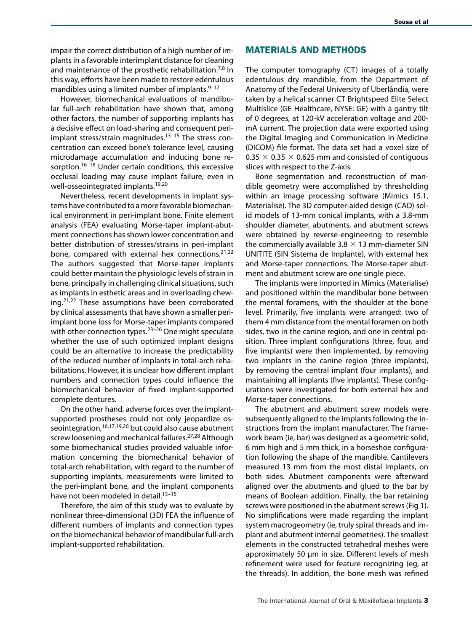impair the correct distribution of a high number of implants in a favorable interimplant distance for cleaning and maintenance of the prosthetic rehabilitation.<sup>7,8</sup> In this way, efforts have been made to restore edentulous mandibles using a limited number of implants.  $9-12$ 

However, biomechanical evaluations of mandibular full-arch rehabilitation have shown that, among other factors, the number of supporting implants has a decisive effect on load-sharing and consequent periimplant stress/strain magnitudes. $13-15$  The stress concentration can exceed bone's tolerance level, causing microdamage accumulation and inducing bone resorption.<sup>16-18</sup> Under certain conditions, this excessive occlusal loading may cause implant failure, even in well-osseointegrated implants.19,20

Nevertheless, recent developments in implant systems have contributed to a more favorable biomechanical environment in peri-implant bone. Finite element analysis (FEA) evaluating Morse-taper implant-abutment connections has shown lower concentration and better distribution of stresses/strains in peri-implant bone, compared with external hex connections. $21,22$ The authors suggested that Morse-taper implants could better maintain the physiologic levels of strain in bone, principally in challenging clinical situations, such as implants in esthetic areas and in overloading chewing.21,22 These assumptions have been corroborated by clinical assessments that have shown a smaller periimplant bone loss for Morse-taper implants compared with other connection types.<sup>23-26</sup> One might speculate whether the use of such optimized implant designs could be an alternative to increase the predictability of the reduced number of implants in total-arch rehabilitations. However, it is unclear how different implant numbers and connection types could influence the biomechanical behavior of fixed implant-supported complete dentures.

On the other hand, adverse forces over the implantsupported prostheses could not only jeopardize osseointegration, $16,17,19,20$  but could also cause abutment screw loosening and mechanical failures.<sup>27,28</sup> Although some biomechanical studies provided valuable information concerning the biomechanical behavior of total-arch rehabilitation, with regard to the number of supporting implants, measurements were limited to the peri-implant bone, and the implant components have not been modeled in detail.<sup>13-15</sup>

Therefore, the aim of this study was to evaluate by nonlinear three-dimensional (3D) FEA the influence of different numbers of implants and connection types on the biomechanical behavior of mandibular full-arch implant-supported rehabilitation.

### MATERIALS AND METHODS

The computer tomography (CT) images of a totally edentulous dry mandible, from the Department of Anatomy of the Federal University of Uberlândia, were taken by a helical scanner CT Brightspeed Elite Select Multislice (GE Healthcare, NYSE: GE) with a gantry tilt of 0 degrees, at 120-kV acceleration voltage and 200 mA current. The projection data were exported using the Digital Imaging and Communication in Medicine (DICOM) file format. The data set had a voxel size of 0.35  $\times$  0.35  $\times$  0.625 mm and consisted of contiguous slices with respect to the Z-axis.

Bone segmentation and reconstruction of mandible geometry were accomplished by thresholding within an image processing software (Mimics 15.1, Materialise). The 3D computer-aided design (CAD) solid models of 13-mm conical implants, with a 3.8-mm shoulder diameter, abutments, and abutment screws were obtained by reverse-engineering to resemble the commercially available  $3.8 \times 13$  mm-diameter SIN UNITITE (SIN Sistema de Implante), with external hex and Morse-taper connections. The Morse-taper abutment and abutment screw are one single piece.

The implants were imported in Mimics (Materialise) and positioned within the mandibular bone between the mental foramens, with the shoulder at the bone level. Primarily, five implants were arranged: two of them 4 mm distance from the mental foramen on both sides, two in the canine region, and one in central position. Three implant configurations (three, four, and five implants) were then implemented, by removing two implants in the canine region (three implants), by removing the central implant (four implants), and maintaining all implants (five implants). These configurations were investigated for both external hex and Morse-taper connections.

The abutment and abutment screw models were subsequently aligned to the implants following the instructions from the implant manufacturer. The framework beam (ie, bar) was designed as a geometric solid, 6 mm high and 5 mm thick, in a horseshoe configuration following the shape of the mandible. Cantilevers measured 13 mm from the most distal implants, on both sides. Abutment components were afterward aligned over the abutments and glued to the bar by means of Boolean addition. Finally, the bar retaining screws were positioned in the abutment screws (Fig 1). No simplifications were made regarding the implant system macrogeometry (ie, truly spiral threads and implant and abutment internal geometries). The smallest elements in the constructed tetrahedral meshes were approximately 50 µm in size. Different levels of mesh refinement were used for feature recognizing (eg, at the threads). In addition, the bone mesh was refined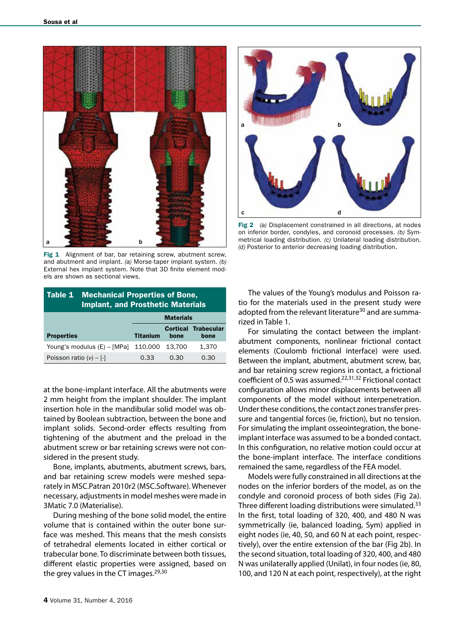

Fig 1 Alignment of bar, bar retaining screw, abutment screw, and abutment and implant. *(a)* Morse-taper implant system. *(b)* External hex implant system. Note that 3D finite element models are shown as sectional views.

| Table 1                     | <b>Mechanical Properties of Bone,</b><br><b>Implant, and Prosthetic Materials</b> |        |                                    |  |  |  |  |  |  |  |
|-----------------------------|-----------------------------------------------------------------------------------|--------|------------------------------------|--|--|--|--|--|--|--|
|                             | <b>Materials</b>                                                                  |        |                                    |  |  |  |  |  |  |  |
| <b>Properties</b>           | <b>Titanium</b>                                                                   | bone   | <b>Cortical Trabecular</b><br>bone |  |  |  |  |  |  |  |
| Young's modulus (E) - [MPa] | 110.000                                                                           | 13.700 | 1.370                              |  |  |  |  |  |  |  |
| Poisson ratio $(v) - [-1]$  | 0.33                                                                              | 0.30   | 0.30                               |  |  |  |  |  |  |  |

at the bone-implant interface. All the abutments were 2 mm height from the implant shoulder. The implant insertion hole in the mandibular solid model was obtained by Boolean subtraction, between the bone and implant solids. Second-order effects resulting from tightening of the abutment and the preload in the abutment screw or bar retaining screws were not considered in the present study.

Bone, implants, abutments, abutment screws, bars, and bar retaining screw models were meshed separately in MSC.Patran 2010r2 (MSC.Software). Whenever necessary, adjustments in model meshes were made in 3Matic 7.0 (Materialise).

During meshing of the bone solid model, the entire volume that is contained within the outer bone surface was meshed. This means that the mesh consists of tetrahedral elements located in either cortical or trabecular bone. To discriminate between both tissues, different elastic properties were assigned, based on the grey values in the CT images. $29,30$ 



Fig 2 *(a)* Displacement constrained in all directions, at nodes on inferior border, condyles, and coronoid processes. *(b)* Symmetrical loading distribution. *(c)* Unilateral loading distribution. **b distribution (d)** Posterior to anterior decreasing loading distribution.<br>(d) Posterior to anterior decreasing loading distribution.

The values of the Young's modulus and Poisson ratio for the materials used in the present study were adopted from the relevant literature<sup>30</sup> and are summarized in Table 1.

For simulating the contact between the implantabutment components, nonlinear frictional contact elements (Coulomb frictional interface) were used. Between the implant, abutment, abutment screw, bar, and bar retaining screw regions in contact, a frictional coefficient of 0.5 was assumed.22,31,32 Frictional contact configuration allows minor displacements between all components of the model without interpenetration. Under these conditions, the contact zones transfer pressure and tangential forces (ie, friction), but no tension. For simulating the implant osseointegration, the boneimplant interface was assumed to be a bonded contact. In this configuration, no relative motion could occur at the bone-implant interface. The interface conditions remained the same, regardless of the FEA model.

Models were fully constrained in all directions at the nodes on the inferior borders of the model, as on the condyle and coronoid process of both sides (Fig 2a). Three different loading distributions were simulated.<sup>33</sup> In the first, total loading of 320, 400, and 480 N was symmetrically (ie, balanced loading, Sym) applied in eight nodes (ie, 40, 50, and 60 N at each point, respectively), over the entire extension of the bar (Fig 2b). In the second situation, total loading of 320, 400, and 480 N was unilaterally applied (Unilat), in four nodes (ie, 80, 100, and 120 N at each point, respectively), at the right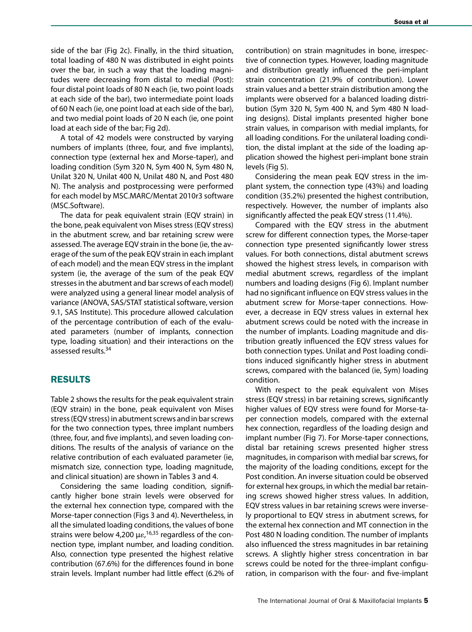side of the bar (Fig 2c). Finally, in the third situation, total loading of 480 N was distributed in eight points over the bar, in such a way that the loading magnitudes were decreasing from distal to medial (Post): four distal point loads of 80 N each (ie, two point loads at each side of the bar), two intermediate point loads of 60 N each (ie, one point load at each side of the bar), and two medial point loads of 20 N each (ie, one point load at each side of the bar; Fig 2d).

A total of 42 models were constructed by varying numbers of implants (three, four, and five implants), connection type (external hex and Morse-taper), and loading condition (Sym 320 N, Sym 400 N, Sym 480 N, Unilat 320 N, Unilat 400 N, Unilat 480 N, and Post 480 N). The analysis and postprocessing were performed for each model by MSC.MARC/Mentat 2010r3 software (MSC.Software).

The data for peak equivalent strain (EQV strain) in the bone, peak equivalent von Mises stress (EQV stress) in the abutment screw, and bar retaining screw were assessed. The average EQV strain in the bone (ie, the average of the sum of the peak EQV strain in each implant of each model) and the mean EQV stress in the implant system (ie, the average of the sum of the peak EQV stresses in the abutment and bar screws of each model) were analyzed using a general linear model analysis of variance (ANOVA, SAS/STAT statistical software, version 9.1, SAS Institute). This procedure allowed calculation of the percentage contribution of each of the evaluated parameters (number of implants, connection type, loading situation) and their interactions on the assessed results.<sup>34</sup>

#### RESULTS

Table 2 shows the results for the peak equivalent strain (EQV strain) in the bone, peak equivalent von Mises stress (EQV stress) in abutment screws and in bar screws for the two connection types, three implant numbers (three, four, and five implants), and seven loading conditions. The results of the analysis of variance on the relative contribution of each evaluated parameter (ie, mismatch size, connection type, loading magnitude, and clinical situation) are shown in Tables 3 and 4.

Considering the same loading condition, significantly higher bone strain levels were observed for the external hex connection type, compared with the Morse-taper connection (Figs 3 and 4). Nevertheless, in all the simulated loading conditions, the values of bone strains were below 4,200  $\mu \varepsilon, ^{16,35}$  regardless of the connection type, implant number, and loading condition. Also, connection type presented the highest relative contribution (67.6%) for the differences found in bone strain levels. Implant number had little effect (6.2% of contribution) on strain magnitudes in bone, irrespective of connection types. However, loading magnitude and distribution greatly influenced the peri-implant strain concentration (21.9% of contribution). Lower strain values and a better strain distribution among the implants were observed for a balanced loading distribution (Sym 320 N, Sym 400 N, and Sym 480 N loading designs). Distal implants presented higher bone strain values, in comparison with medial implants, for all loading conditions. For the unilateral loading condition, the distal implant at the side of the loading application showed the highest peri-implant bone strain levels (Fig 5).

Considering the mean peak EQV stress in the implant system, the connection type (43%) and loading condition (35.2%) presented the highest contribution, respectively. However, the number of implants also significantly affected the peak EQV stress (11.4%).

Compared with the EQV stress in the abutment screw for different connection types, the Morse-taper connection type presented significantly lower stress values. For both connections, distal abutment screws showed the highest stress levels, in comparison with medial abutment screws, regardless of the implant numbers and loading designs (Fig 6). Implant number had no significant influence on EQV stress values in the abutment screw for Morse-taper connections. However, a decrease in EQV stress values in external hex abutment screws could be noted with the increase in the number of implants. Loading magnitude and distribution greatly influenced the EQV stress values for both connection types. Unilat and Post loading conditions induced significantly higher stress in abutment screws, compared with the balanced (ie, Sym) loading condition.

With respect to the peak equivalent von Mises stress (EQV stress) in bar retaining screws, significantly higher values of EQV stress were found for Morse-taper connection models, compared with the external hex connection, regardless of the loading design and implant number (Fig 7). For Morse-taper connections, distal bar retaining screws presented higher stress magnitudes, in comparison with medial bar screws, for the majority of the loading conditions, except for the Post condition. An inverse situation could be observed for external hex groups, in which the medial bar retaining screws showed higher stress values. In addition, EQV stress values in bar retaining screws were inversely proportional to EQV stress in abutment screws, for the external hex connection and MT connection in the Post 480 N loading condition. The number of implants also influenced the stress magnitudes in bar retaining screws. A slightly higher stress concentration in bar screws could be noted for the three-implant configuration, in comparison with the four- and five-implant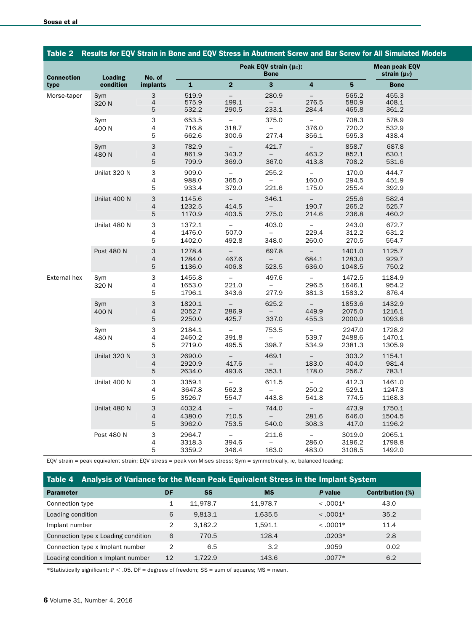|                           |              |                                                   |                            |                              |                            |                                                       |                            | Table 2 Results for EQV Strain in Bone and EQV Stress in Abutment Screw and Bar Screw for All Simulated Models |                                                      |  |
|---------------------------|--------------|---------------------------------------------------|----------------------------|------------------------------|----------------------------|-------------------------------------------------------|----------------------------|----------------------------------------------------------------------------------------------------------------|------------------------------------------------------|--|
|                           |              | <b>Loading</b>                                    | No. of                     |                              |                            | Peak EQV strain ( $\mu \varepsilon$ ):<br><b>Bone</b> |                            |                                                                                                                | <b>Mean peak EQV</b><br>strain ( $\mu \varepsilon$ ) |  |
| <b>Connection</b><br>type | condition    | <b>implants</b>                                   | $\mathbf{1}$               | $\overline{2}$               | $\mathbf{3}$               | $\overline{4}$                                        | 5 <sub>1</sub>             | <b>Bone</b>                                                                                                    |                                                      |  |
| Morse-taper               | Sym<br>320 N | 3<br>$\overline{4}$<br>5                          | 519.9<br>575.9<br>532.2    | $\equiv$<br>199.1<br>290.5   | 280.9<br>$\equiv$<br>233.1 | $\sim$<br>276.5<br>284.4                              | 565.2<br>580.9<br>465.8    | 455.3<br>408.1<br>361.2                                                                                        |                                                      |  |
|                           | Sym<br>400 N | 3<br>4<br>$\overline{5}$                          | 653.5<br>716.8<br>662.6    | $\equiv$<br>318.7<br>300.6   | 375.0<br>$\equiv$<br>277.4 | $\sim$<br>376.0<br>356.1                              | 708.3<br>720.2<br>595.3    | 578.9<br>532.9<br>438.4                                                                                        |                                                      |  |
|                           | Sym<br>480 N | $\mathbf{3}$<br>$\overline{4}$<br>$\overline{5}$  | 782.9<br>861.9<br>799.9    | $\sim$<br>343.2<br>369.0     | 421.7<br>$\equiv$<br>367.0 | $\sim$<br>463.2<br>413.8                              | 858.7<br>852.1<br>708.2    | 687.8<br>630.1<br>531.6                                                                                        |                                                      |  |
|                           | Unilat 320 N | $\mathsf 3$<br>4<br>$\overline{5}$                | 909.0<br>988.0<br>933.4    | $ \,$<br>365.0<br>379.0      | 255.2<br>$\sim$<br>221.6   | $\sim$<br>160.0<br>175.0                              | 170.0<br>294.5<br>255.4    | 444.7<br>451.9<br>392.9                                                                                        |                                                      |  |
|                           | Unilat 400 N | $\mathbf{3}$<br>$\overline{4}$<br>$\mathbf 5$     | 1145.6<br>1232.5<br>1170.9 | $\sim$<br>414.5<br>403.5     | 346.1<br>$\equiv$<br>275.0 | $\sim$<br>190.7<br>214.6                              | 255.6<br>265.2<br>236.8    | 582.4<br>525.7<br>460.2                                                                                        |                                                      |  |
|                           | Unilat 480 N | $\mathbf{3}$<br>$\overline{4}$<br>$5\phantom{.0}$ | 1372.1<br>1476.0<br>1402.0 | $\equiv$<br>507.0<br>492.8   | 403.0<br>$\equiv$<br>348.0 | $\sim$<br>229.4<br>260.0                              | 243.0<br>312.2<br>270.5    | 672.7<br>631.2<br>554.7                                                                                        |                                                      |  |
|                           | Post 480 N   | $\mathbf{3}$<br>$\overline{4}$<br>5               | 1278.4<br>1284.0<br>1136.0 | $\sim$ $-$<br>467.6<br>406.8 | 697.8<br>$\sim$<br>523.5   | $\sim$ $-$<br>684.1<br>636.0                          | 1401.0<br>1283.0<br>1048.5 | 1125.7<br>929.7<br>750.2                                                                                       |                                                      |  |
| External hex              | Sym<br>320 N | 3<br>$\overline{4}$<br>$5\phantom{.0}$            | 1455.8<br>1653.0<br>1796.1 | $\sim$<br>221.0<br>343.6     | 497.6<br>$\sim$<br>277.9   | $\sim$<br>296.5<br>381.3                              | 1472.5<br>1646.1<br>1583.2 | 1184.9<br>954.2<br>876.4                                                                                       |                                                      |  |
|                           | Sym<br>400 N | 3<br>$\overline{4}$<br>$5\phantom{.0}$            | 1820.1<br>2052.7<br>2250.0 | $\sim$<br>286.9<br>425.7     | 625.2<br>$\equiv$<br>337.0 | $\sim$<br>449.9<br>455.3                              | 1853.6<br>2075.0<br>2000.9 | 1432.9<br>1216.1<br>1093.6                                                                                     |                                                      |  |
|                           | Sym<br>480N  | $\mathbf{3}$<br>$\overline{4}$<br>5               | 2184.1<br>2460.2<br>2719.0 | $\equiv$<br>391.8<br>495.5   | 753.5<br>$\equiv$<br>398.7 | $\equiv$<br>539.7<br>534.9                            | 2247.0<br>2488.6<br>2381.3 | 1728.2<br>1470.1<br>1305.9                                                                                     |                                                      |  |
|                           | Unilat 320 N | $\mathsf 3$<br>$\overline{4}$<br>$5\phantom{.0}$  | 2690.0<br>2920.9<br>2634.0 | $\sim$<br>417.6<br>493.6     | 469.1<br>$\equiv$<br>353.1 | $\sim$<br>183.0<br>178.0                              | 303.2<br>404.0<br>256.7    | 1154.1<br>981.4<br>783.1                                                                                       |                                                      |  |
|                           | Unilat 400 N | $\mathbf{3}$<br>4<br>$5\phantom{.0}$              | 3359.1<br>3647.8<br>3526.7 | $\equiv$<br>562.3<br>554.7   | 611.5<br>$\sim$<br>443.8   | $\sim$<br>250.2<br>541.8                              | 412.3<br>529.1<br>774.5    | 1461.0<br>1247.3<br>1168.3                                                                                     |                                                      |  |
|                           | Unilat 480 N | 3<br>$\overline{4}$<br>5                          | 4032.4<br>4380.0<br>3962.0 | $\sim$<br>710.5<br>753.5     | 744.0<br>$\equiv$<br>540.0 | $\sim$<br>281.6<br>308.3                              | 473.9<br>646.0<br>417.0    | 1750.1<br>1504.5<br>1196.2                                                                                     |                                                      |  |
|                           | Post 480 N   | 3<br>$\overline{4}$<br>5                          | 2964.7<br>3318.3<br>3359.2 | $\sim$<br>394.6<br>346.4     | 211.6<br>$ \,$<br>163.0    | $\sim$<br>286.0<br>483.0                              | 3019.0<br>3196.2<br>3108.5 | 2065.1<br>1798.8<br>1492.0                                                                                     |                                                      |  |

#### Table 2 Results for EQV Strain in Bone and EQV Stress in Abutment Screw and Bar Screw for All Simulated Models

EQV strain = peak equivalent strain; EQV stress = peak von Mises stress; Sym = symmetrically, ie, balanced loading;

| Table 4 Analysis of Variance for the Mean Peak Equivalent Stress in the Implant System |    |          |           |            |                         |  |  |  |  |  |  |
|----------------------------------------------------------------------------------------|----|----------|-----------|------------|-------------------------|--|--|--|--|--|--|
| <b>Parameter</b>                                                                       | DF | SS       | <b>MS</b> | P value    | <b>Contribution (%)</b> |  |  |  |  |  |  |
| Connection type                                                                        |    | 11.978.7 | 11,978.7  | $< .0001*$ | 43.0                    |  |  |  |  |  |  |
| Loading condition                                                                      | 6  | 9.813.1  | 1,635.5   | $< .0001*$ | 35.2                    |  |  |  |  |  |  |
| Implant number                                                                         | 2  | 3.182.2  | 1.591.1   | $< .0001*$ | 11.4                    |  |  |  |  |  |  |
| Connection type x Loading condition                                                    | 6  | 770.5    | 128.4     | $.0203*$   | 2.8                     |  |  |  |  |  |  |
| Connection type x Implant number                                                       | 2  | 6.5      | 3.2       | .9059      | 0.02                    |  |  |  |  |  |  |
| Loading condition x Implant number                                                     | 12 | 1,722.9  | 143.6     | $.0077*$   | 6.2                     |  |  |  |  |  |  |

\*Statistically significant; *P* < .05. DF = degrees of freedom; SS = sum of squares; MS = mean.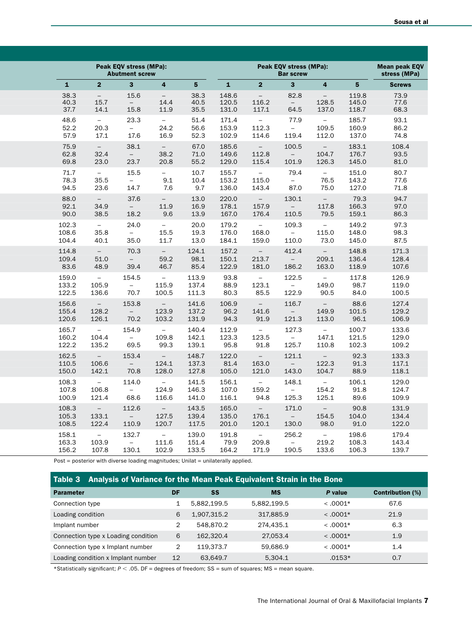| Peak EQV stress (MPa):<br><b>Abutment screw</b> |                | Peak EQV stress (MPa):<br><b>Bar screw</b> |                         |                |              |                | <b>Mean peak EQV</b><br>stress (MPa) |                          |                |               |
|-------------------------------------------------|----------------|--------------------------------------------|-------------------------|----------------|--------------|----------------|--------------------------------------|--------------------------|----------------|---------------|
| $\mathbf{1}$                                    | $\overline{2}$ | $\mathbf{3}$                               | $\overline{\mathbf{4}}$ | 5 <sup>5</sup> | $\mathbf{1}$ | 2 <sup>1</sup> | $\mathbf{3}$                         | $\overline{4}$           | 5 <sup>5</sup> | <b>Screws</b> |
| 38.3                                            | $-$            | 15.6                                       | $\equiv$                | 38.3           | 148.6        | $\equiv$       | 82.8                                 | $\equiv$                 | 119.8          | 73.9          |
| 40.3                                            | 15.7           | $\equiv$                                   | 14.4                    | 40.5           | 120.5        | 116.2          | $\overline{\phantom{a}}$             | 128.5                    | 145.0          | 77.6          |
| 37.7                                            | 14.1           | 15.8                                       | 11.9                    | 35.5           | 131.0        | 117.1          | 64.5                                 | 137.0                    | 118.7          | 68.3          |
| 48.6                                            | $\equiv$       | 23.3                                       | $ \,$                   | 51.4           | 171.4        | $\equiv$       | 77.9                                 | $\sim$                   | 185.7          | 93.1          |
| 52.2                                            | 20.3           | $\sim$                                     | 24.2                    | 56.6           | 153.9        | 112.3          | $\sim$                               | 109.5                    | 160.9          | 86.2          |
| 57.9                                            | 17.1           | 17.6                                       | 16.9                    | 52.3           | 102.9        | 114.6          | 119.4                                | 112.0                    | 137.0          | 74.8          |
| 75.9                                            | $\sim$         | 38.1                                       | $\sim$                  | 67.0           | 185.6        | $\sim$         | 100.5                                | $\sim$                   | 183.1          | 108.4         |
| 62.8                                            | 32.4           | $\sim$                                     | 38.2                    | 71.0           | 149.6        | 112.8          | $\overline{\phantom{a}}$             | 104.7                    | 176.7          | 93.5          |
| 69.8                                            | 23.0           | 23.7                                       | 20.8                    | 55.2           | 129.0        | 115.4          | 101.9                                | 126.3                    | 145.0          | 81.0          |
| 71.7                                            | $\equiv$       | 15.5                                       | $\equiv$                | 10.7           | 155.7        | $\equiv$       | 79.4                                 | $\equiv$                 | 151.0          | 80.7          |
| 78.3                                            | 35.5           | $\sim$                                     | 9.1                     | 10.4           | 153.2        | 115.0          | $ \,$                                | 76.5                     | 143.2          | 77.6          |
| 94.5                                            | 23.6           | 14.7                                       | 7.6                     | 9.7            | 136.0        | 143.4          | 87.0                                 | 75.0                     | 127.0          | 71.8          |
| 88.0                                            | $\sim$         | 37.6                                       | $\sim$                  | 13.0           | 220.0        | $\sim$         | 130.1                                | $\sim$                   | 79.3           | 94.7          |
| 92.1                                            | 34.9           | $\equiv$                                   | 11.9                    | 16.9           | 178.1        | 157.9          | $\sim$                               | 117.8                    | 166.3          | 97.0          |
| 90.0                                            | 38.5           | 18.2                                       | 9.6                     | 13.9           | 167.0        | 176.4          | 110.5                                | 79.5                     | 159.1          | 86.3          |
| 102.3                                           | $\sim$         | 24.0                                       | $\equiv$                | 20.0           | 179.2        | $\equiv$       | 109.3                                | $\equiv$                 | 149.2          | 97.3          |
| 108.6                                           | 35.8           | $\equiv$                                   | 15.5                    | 19.3           | 176.0        | 168.0          | $\equiv$                             | 115.0                    | 148.0          | 98.3          |
| 104.4                                           | 40.1           | 35.0                                       | 11.7                    | 13.0           | 184.1        | 159.0          | 110.0                                | 73.0                     | 145.0          | 87.5          |
| 114.8                                           | $\sim$         | 70.3                                       | $\sim$                  | 124.1          | 157.2        | $\equiv$       | 412.4                                | $\equiv$                 | 148.8          | 171.3         |
| 109.4                                           | 51.0           | $\equiv$                                   | 59.2                    | 98.1           | 150.1        | 213.7          | $\hspace{0.1mm}-\hspace{0.1mm}$      | 209.1                    | 136.4          | 128.4         |
| 83.6                                            | 48.9           | 39.4                                       | 46.7                    | 85.4           | 122.9        | 181.0          | 186.2                                | 163.0                    | 118.9          | 107.6         |
| 159.0                                           | $\sim$         | 154.5                                      | $\equiv$                | 113.9          | 93.8         | $\equiv$       | 122.5                                | $\equiv$                 | 117.8          | 126.9         |
| 133.2                                           | 105.9          | $\sim$                                     | 115.9                   | 137.4          | 88.9         | 123.1          | $\overline{\phantom{a}}$             | 149.0                    | 98.7           | 119.0         |
| 122.5                                           | 136.6          | 70.7                                       | 100.5                   | 111.3          | 80.3         | 85.5           | 122.9                                | 90.5                     | 84.0           | 100.5         |
| 156.6                                           | $\equiv$       | 153.8                                      | $\overline{a}$          | 141.6          | 106.9        | $\equiv$       | 116.7                                | $\equiv$                 | 88.6           | 127.4         |
| 155.4                                           | 128.2          | $\overline{\phantom{a}}$                   | 123.9                   | 137.2          | 96.2         | 141.6          | $\equiv$                             | 149.9                    | 101.5          | 129.2         |
| 120.6                                           | 126.1          | 70.2                                       | 103.2                   | 131.9          | 94.3         | 91.9           | 121.3                                | 113.0                    | 96.1           | 106.9         |
| 165.7                                           | $\equiv$       | 154.9                                      | $\sim$                  | 140.4          | 112.9        | $\equiv$       | 127.3                                | $\equiv$                 | 100.7          | 133.6         |
| 160.2                                           | 104.4          | $\equiv$                                   | 109.8                   | 142.1          | 123.3        | 123.5          | $\equiv$                             | 147.1                    | 121.5          | 129.0         |
| 122.2                                           | 135.2          | 69.5                                       | 99.3                    | 139.1          | 95.8         | 91.8           | 125.7                                | 110.8                    | 102.3          | 109.2         |
| 162.5                                           | $\sim$         | 153.4                                      | $\sim$                  | 148.7          | 122.0        | $\sim$         | 121.1                                | $\overline{\phantom{a}}$ | 92.3           | 133.3         |
| 110.5                                           | 106.6          | $\sim$                                     | 124.1                   | 137.3          | 81.4         | 163.0          | $\sim$                               | 122.3                    | 91.3           | 117.1         |
| 150.0                                           | 142.1          | 70.8                                       | 128.0                   | 127.8          | 105.0        | 121.0          | 143.0                                | 104.7                    | 88.9           | 118.1         |
| 108.3                                           | $\sim$         | 114.0                                      | $\sim$                  | 141.5          | 156.1        | $\sim$         | 148.1                                | $\sim$                   | 106.1          | 129.0         |
| 107.8                                           | 106.8          | $-$                                        | 124.9                   | 146.3          | 107.0        | 159.2          | $ \,$                                | 154.2                    | 91.8           | 124.7         |
| 100.9                                           | 121.4          | 68.6                                       | 116.6                   | 141.0          | 116.1        | 94.8           | 125.3                                | 125.1                    | 89.6           | 109.9         |
| 108.3                                           | $\sim$         | 112.6                                      | $\equiv$                | 143.5          | 165.0        | $\sim$         | 171.0                                | $\equiv$                 | 90.8           | 131.9         |
| 105.3                                           | 133.1          | $\overline{\phantom{a}}$                   | 127.5                   | 139.4          | 135.0        | 176.1          | $\equiv$                             | 154.5                    | 104.0          | 134.4         |
| 108.5                                           | 122.4          | 110.9                                      | 120.7                   | 117.5          | 201.0        | 120.1          | 130.0                                | 98.0                     | 91.0           | 122.0         |
| 158.1                                           | $\equiv$       | 132.7                                      | $\equiv$                | 139.0          | 191.8        | $\equiv$       | 256.2                                | $\equiv$                 | 198.6          | 179.4         |
| 163.3                                           | 103.9          | $-$                                        | 111.6                   | 151.4          | 79.9         | 209.8          | $-$                                  | 219.2                    | 108.3          | 143.4         |
| 156.2                                           | 107.8          | 130.1                                      | 102.9                   | 133.5          | 164.2        | 171.9          | 190.5                                | 133.6                    | 106.3          | 139.7         |

Post = posterior with diverse loading magnitudes; Unilat = unilaterally applied.

| Table 3 Analysis of Variance for the Mean Peak Equivalent Strain in the Bone |    |             |             |            |                         |  |  |  |  |  |
|------------------------------------------------------------------------------|----|-------------|-------------|------------|-------------------------|--|--|--|--|--|
| <b>Parameter</b>                                                             | DF | SS          | <b>MS</b>   | P value    | <b>Contribution (%)</b> |  |  |  |  |  |
| Connection type                                                              |    | 5,882,199.5 | 5,882,199.5 | $< .0001*$ | 67.6                    |  |  |  |  |  |
| Loading condition                                                            | 6  | 1.907.315.2 | 317,885.9   | $< .0001*$ | 21.9                    |  |  |  |  |  |
| Implant number                                                               |    | 548,870.2   | 274.435.1   | $< .0001*$ | 6.3                     |  |  |  |  |  |
| Connection type x Loading condition                                          | 6  | 162.320.4   | 27.053.4    | $< .0001*$ | 1.9                     |  |  |  |  |  |
| Connection type x Implant number                                             | 2  | 119.373.7   | 59.686.9    | $< .0001*$ | 1.4                     |  |  |  |  |  |
| Loading condition x Implant number                                           | 12 | 63,649.7    | 5.304.1     | $.0153*$   | 0.7                     |  |  |  |  |  |

\*Statistically significant; *P* < .05. DF = degrees of freedom; SS = sum of squares; MS = mean square.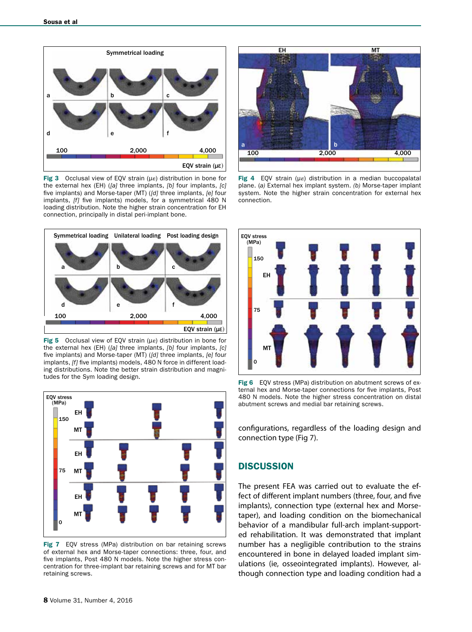

Fig 3 Occlusal view of EQV strain (με) distribution in bone for the external hex (EH) (*[a]* three implants, *[b]* four implants, *[c]* five implants) and Morse-taper (MT) (*[d]* three implants, *[e]* four implants, *[f]* five implants) models, for a symmetrical 480 N loading distribution. Note the higher strain concentration for EH connection, principally in distal peri-implant bone.



Fig 5 Occlusal view of EQV strain (με) distribution in bone for the external hex (EH) (*[a]* three implants, *[b]* four implants, *[c]* five implants) and Morse-taper (MT) (*[d]* three implants, *[e]* four implants, *[f]* five implants) models, 480 N force in different loading distributions. Note the better strain distribution and magnitudes for the Sym loading design.



Fig 7 EQV stress (MPa) distribution on bar retaining screws of external hex and Morse-taper connections: three, four, and five implants, Post 480 N models. Note the higher stress concentration for three-implant bar retaining screws and for MT bar retaining screws.



Fig 4 EQV strain (με) distribution in a median buccopalatal plane. (*a)* External hex implant system. *(b)* Morse-taper implant system. Note the higher strain concentration for external hex connection.



Fig 6 EQV stress (MPa) distribution on abutment screws of external hex and Morse-taper connections for five implants, Post 480 N models. Note the higher stress concentration on distal abutment screws and medial bar retaining screws.

configurations, regardless of the loading design and connection type (Fig 7).

# **DISCUSSION**

The present FEA was carried out to evaluate the effect of different implant numbers (three, four, and five implants), connection type (external hex and Morsetaper), and loading condition on the biomechanical behavior of a mandibular full-arch implant-supported rehabilitation. It was demonstrated that implant number has a negligible contribution to the strains encountered in bone in delayed loaded implant simulations (ie, osseointegrated implants). However, although connection type and loading condition had a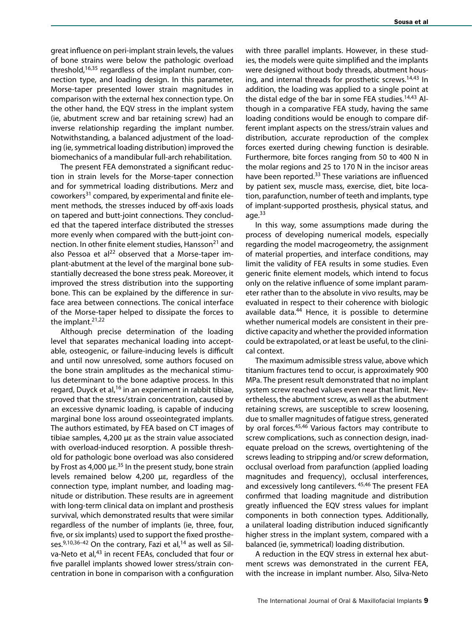great influence on peri-implant strain levels, the values of bone strains were below the pathologic overload threshold, $16,35$  regardless of the implant number, connection type, and loading design. In this parameter, Morse-taper presented lower strain magnitudes in comparison with the external hex connection type. On the other hand, the EQV stress in the implant system (ie, abutment screw and bar retaining screw) had an inverse relationship regarding the implant number. Notwithstanding, a balanced adjustment of the loading (ie, symmetrical loading distribution) improved the biomechanics of a mandibular full-arch rehabilitation.

The present FEA demonstrated a significant reduction in strain levels for the Morse-taper connection and for symmetrical loading distributions. Merz and coworkers31 compared, by experimental and finite element methods, the stresses induced by off-axis loads on tapered and butt-joint connections. They concluded that the tapered interface distributed the stresses more evenly when compared with the butt-joint connection. In other finite element studies, Hansson<sup>21</sup> and also Pessoa et al $^{22}$  observed that a Morse-taper implant-abutment at the level of the marginal bone substantially decreased the bone stress peak. Moreover, it improved the stress distribution into the supporting bone. This can be explained by the difference in surface area between connections. The conical interface of the Morse-taper helped to dissipate the forces to the implant. $21,22$ 

Although precise determination of the loading level that separates mechanical loading into acceptable, osteogenic, or failure-inducing levels is difficult and until now unresolved, some authors focused on the bone strain amplitudes as the mechanical stimulus determinant to the bone adaptive process. In this regard, Duyck et al,<sup>16</sup> in an experiment in rabbit tibiae, proved that the stress/strain concentration, caused by an excessive dynamic loading, is capable of inducing marginal bone loss around osseointegrated implants. The authors estimated, by FEA based on CT images of tibiae samples, 4,200 µε as the strain value associated with overload-induced resorption. A possible threshold for pathologic bone overload was also considered by Frost as 4,000  $\mu \epsilon$ <sup>35</sup> In the present study, bone strain levels remained below 4,200 µε, regardless of the connection type, implant number, and loading magnitude or distribution. These results are in agreement with long-term clinical data on implant and prosthesis survival, which demonstrated results that were similar regardless of the number of implants (ie, three, four, five, or six implants) used to support the fixed prostheses. $9,10,36-42$  On the contrary, Fazi et al, <sup>14</sup> as well as Silva-Neto et al,<sup>43</sup> in recent FEAs, concluded that four or five parallel implants showed lower stress/strain concentration in bone in comparison with a configuration

with three parallel implants. However, in these studies, the models were quite simplified and the implants were designed without body threads, abutment housing, and internal threads for prosthetic screws.<sup>14,43</sup> In addition, the loading was applied to a single point at the distal edge of the bar in some FEA studies.<sup>14,43</sup> Although in a comparative FEA study, having the same loading conditions would be enough to compare different implant aspects on the stress/strain values and distribution, accurate reproduction of the complex forces exerted during chewing function is desirable. Furthermore, bite forces ranging from 50 to 400 N in the molar regions and 25 to 170 N in the incisor areas have been reported.<sup>33</sup> These variations are influenced by patient sex, muscle mass, exercise, diet, bite location, parafunction, number of teeth and implants, type of implant-supported prosthesis, physical status, and age. $33$ 

In this way, some assumptions made during the process of developing numerical models, especially regarding the model macrogeometry, the assignment of material properties, and interface conditions, may limit the validity of FEA results in some studies. Even generic finite element models, which intend to focus only on the relative influence of some implant parameter rather than to the absolute in vivo results, may be evaluated in respect to their coherence with biologic available data.<sup>44</sup> Hence, it is possible to determine whether numerical models are consistent in their predictive capacity and whether the provided information could be extrapolated, or at least be useful, to the clinical context.

The maximum admissible stress value, above which titanium fractures tend to occur, is approximately 900 MPa. The present result demonstrated that no implant system screw reached values even near that limit. Nevertheless, the abutment screw, as well as the abutment retaining screws, are susceptible to screw loosening, due to smaller magnitudes of fatigue stress, generated by oral forces.<sup>45,46</sup> Various factors may contribute to screw complications, such as connection design, inadequate preload on the screws, overtightening of the screws leading to stripping and/or screw deformation, occlusal overload from parafunction (applied loading magnitudes and frequency), occlusal interferences, and excessively long cantilevers. 45,46 The present FEA confirmed that loading magnitude and distribution greatly influenced the EQV stress values for implant components in both connection types. Additionally, a unilateral loading distribution induced significantly higher stress in the implant system, compared with a balanced (ie, symmetrical) loading distribution.

A reduction in the EQV stress in external hex abutment screws was demonstrated in the current FEA, with the increase in implant number. Also, Silva-Neto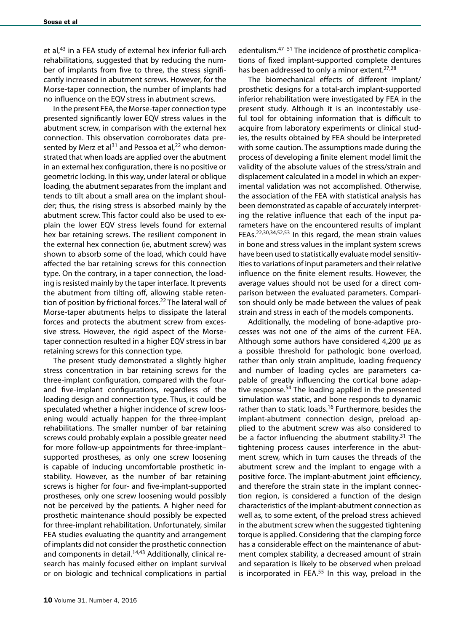et al,<sup>43</sup> in a FEA study of external hex inferior full-arch rehabilitations, suggested that by reducing the number of implants from five to three, the stress significantly increased in abutment screws. However, for the Morse-taper connection, the number of implants had no influence on the EQV stress in abutment screws.

In the present FEA, the Morse-taper connection type presented significantly lower EQV stress values in the abutment screw, in comparison with the external hex connection. This observation corroborates data presented by Merz et al<sup>31</sup> and Pessoa et al,<sup>22</sup> who demonstrated that when loads are applied over the abutment in an external hex configuration, there is no positive or geometric locking. In this way, under lateral or oblique loading, the abutment separates from the implant and tends to tilt about a small area on the implant shoulder; thus, the rising stress is absorbed mainly by the abutment screw. This factor could also be used to explain the lower EQV stress levels found for external hex bar retaining screws. The resilient component in the external hex connection (ie, abutment screw) was shown to absorb some of the load, which could have affected the bar retaining screws for this connection type. On the contrary, in a taper connection, the loading is resisted mainly by the taper interface. It prevents the abutment from tilting off, allowing stable retention of position by frictional forces.<sup>22</sup> The lateral wall of Morse-taper abutments helps to dissipate the lateral forces and protects the abutment screw from excessive stress. However, the rigid aspect of the Morsetaper connection resulted in a higher EQV stress in bar retaining screws for this connection type.

The present study demonstrated a slightly higher stress concentration in bar retaining screws for the three-implant configuration, compared with the fourand five-implant configurations, regardless of the loading design and connection type. Thus, it could be speculated whether a higher incidence of screw loosening would actually happen for the three-implant rehabilitations. The smaller number of bar retaining screws could probably explain a possible greater need for more follow-up appointments for three-implant– supported prostheses, as only one screw loosening is capable of inducing uncomfortable prosthetic instability. However, as the number of bar retaining screws is higher for four- and five-implant-supported prostheses, only one screw loosening would possibly not be perceived by the patients. A higher need for prosthetic maintenance should possibly be expected for three-implant rehabilitation. Unfortunately, similar FEA studies evaluating the quantity and arrangement of implants did not consider the prosthetic connection and components in detail.<sup>14,43</sup> Additionally, clinical research has mainly focused either on implant survival or on biologic and technical complications in partial

edentulism.47–51 The incidence of prosthetic complications of fixed implant-supported complete dentures has been addressed to only a minor extent.<sup>27,28</sup>

The biomechanical effects of different implant/ prosthetic designs for a total-arch implant-supported inferior rehabilitation were investigated by FEA in the present study. Although it is an incontestably useful tool for obtaining information that is difficult to acquire from laboratory experiments or clinical studies, the results obtained by FEA should be interpreted with some caution. The assumptions made during the process of developing a finite element model limit the validity of the absolute values of the stress/strain and displacement calculated in a model in which an experimental validation was not accomplished. Otherwise, the association of the FEA with statistical analysis has been demonstrated as capable of accurately interpreting the relative influence that each of the input parameters have on the encountered results of implant FEAs.<sup>22,30,34,52,53</sup> In this regard, the mean strain values in bone and stress values in the implant system screws have been used to statistically evaluate model sensitivities to variations of input parameters and their relative influence on the finite element results. However, the average values should not be used for a direct comparison between the evaluated parameters. Comparison should only be made between the values of peak strain and stress in each of the models components.

Additionally, the modeling of bone-adaptive processes was not one of the aims of the current FEA. Although some authors have considered 4,200 με as a possible threshold for pathologic bone overload, rather than only strain amplitude, loading frequency and number of loading cycles are parameters capable of greatly influencing the cortical bone adaptive response.<sup>54</sup> The loading applied in the presented simulation was static, and bone responds to dynamic rather than to static loads.<sup>16</sup> Furthermore, besides the implant-abutment connection design, preload applied to the abutment screw was also considered to be a factor influencing the abutment stability.<sup>31</sup> The tightening process causes interference in the abutment screw, which in turn causes the threads of the abutment screw and the implant to engage with a positive force. The implant-abutment joint efficiency, and therefore the strain state in the implant connection region, is considered a function of the design characteristics of the implant-abutment connection as well as, to some extent, of the preload stress achieved in the abutment screw when the suggested tightening torque is applied. Considering that the clamping force has a considerable effect on the maintenance of abutment complex stability, a decreased amount of strain and separation is likely to be observed when preload is incorporated in FEA.<sup>55</sup> In this way, preload in the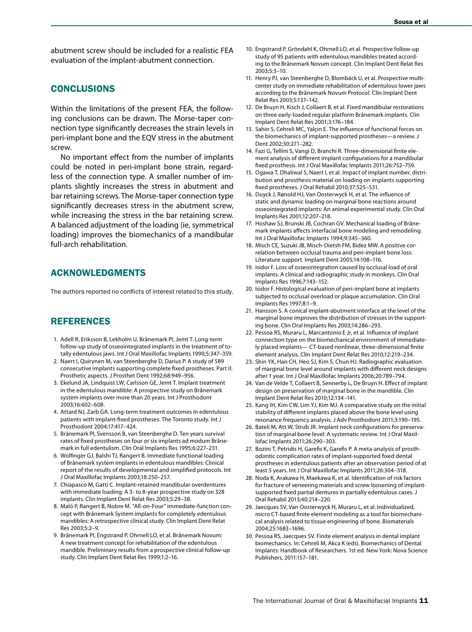abutment screw should be included for a realistic FEA evaluation of the implant-abutment connection.

# **CONCLUSIONS**

Within the limitations of the present FEA, the following conclusions can be drawn. The Morse-taper connection type significantly decreases the strain levels in peri-implant bone and the EQV stress in the abutment screw.

No important effect from the number of implants could be noted in peri-implant bone strain, regardless of the connection type. A smaller number of implants slightly increases the stress in abutment and bar retaining screws. The Morse-taper connection type significantly decreases stress in the abutment screw, while increasing the stress in the bar retaining screw. A balanced adjustment of the loading (ie, symmetrical loading) improves the biomechanics of a mandibular full-arch rehabilitation.

# ACKNOWLEDGMENTS

The authors reported no conflicts of interest related to this study.

### REFERENCES

- 1. Adell R, Eriksson B, Lekholm U, Brånemark PI, Jemt T. Long-term follow-up study of osseointegrated implants in the treatment of totally edentulous jaws. Int J Oral Maxillofac Implants 1990;5:347–359.
- 2. Naert I, Quirynen M, van Steenberghe D, Darius P. A study of 589 consecutive implants supporting complete fixed prostheses. Part II: Prosthetic aspects. J Prosthet Dent 1992;68:949–956.
- 3. Ekelund JA, Lindquist LW, Carlsson GE, Jemt T. Implant treatment in the edentulous mandible: A prospective study on Brånemark system implants over more than 20 years. Int J Prosthodont 2003;16:602–608.
- 4. Attard NJ, Zarb GA. Long-term treatment outcomes in edentulous patients with implant-fixed prostheses: The Toronto study. Int J Prosthodont 2004;17:417–424.
- 5. Brånemark PI, Svensson B, van Steenberghe D. Ten years survival rates of fixed prostheses on four or six implants ad modum Brånemark in full edentulism. Clin Oral Implants Res 1995;6:227–231.
- 6. Wolfinger GJ, Balshi TJ, Rangert B. Immediate functional loading of Brånemark system implants in edentulous mandibles: Clinical report of the results of developmental and simplified protocols. Int J Oral Maxillofac Implants 2003;18:250–257.
- 7. Chiapasco M, Gatti C. Implant-retained mandibular overdentures with immediate loading: A 3- to 8-year prospective study on 328 implants. Clin Implant Dent Relat Res 2003;5:29–38.
- 8. Maló P, Rangert B, Nobre M. "All-on-Four" immediate-function concept with Brånemark System implants for completely edentulous mandibles: A retrospective clinical study. Clin Implant Dent Relat Res 2003;5:2–9.
- 9. Brånemark PI, Engstrand P, Ohrnell LO, et al. Brånemark Novum: A new treatment concept for rehabilitation of the edentulous mandible. Preliminary results from a prospective clinical follow-up study. Clin Implant Dent Relat Res 1999;1:2–16.
- 10. Engstrand P, Gröndahl K, Ohrnell LO, et al. Prospective follow-up study of 95 patients with edentulous mandibles treated according to the Brånemark Novum concept. Clin Implant Dent Relat Res 2003;5:3–10.
- 11. Henry PJ, van Steenberghe D, Blombäck U, et al. Prospective multicenter study on immediate rehabilitation of edentulous lower jaws according to the Brånemark Novum Protocol. Clin Implant Dent Relat Res 2003;5:137–142.
- 12. De Bruyn H, Kisch J, Collaert B, et al. Fixed mandibular restorations on three early-loaded regular platform Brånemark implants. Clin Implant Dent Relat Res 2001;3:176–184.
- 13. Sahin S, Cehreli MC, Yalçin E. The influence of functional forces on the biomechanics of implant-supported prostheses—a review. J Dent 2002;30:271–282.
- 14. Fazi G, Tellini S, Vangi D, Branchi R. Three-dimensional finite element analysis of different implant configurations for a mandibular fixed prosthesis. Int J Oral Maxillofac Implants 2011;26:752–759.
- 15. Ogawa T, Dhaliwal S, Naert I, et al. Impact of implant number, distribution and prosthesis material on loading on implants supporting fixed prostheses. J Oral Rehabil 2010;37:525–531.
- 16. Duyck J, Rønold HJ, Van Oosterwyck H, et al. The influence of static and dynamic loading on marginal bone reactions around osseointegrated implants: An animal experimental study. Clin Oral Implants Res 2001;12:207–218.
- 17. Hoshaw SJ, Brunski JB, Cochran GV. Mechanical loading of Brånemark implants affects interfacial bone modeling and remodeling. Int J Oral Maxillofac Implants 1994;9:345–360.
- 18. Misch CE, Suzuki JB, Misch-Dietsh FM, Bidez MW. A positive correlation between occlusal trauma and peri-implant bone loss: Literature support. Implant Dent 2005;14:108–116.
- 19. Isidor F. Loss of osseointegration caused by occlusal load of oral implants. A clinical and radiographic study in monkeys. Clin Oral Implants Res 1996;7:143–152.
- 20. Isidor F. Histological evaluation of peri-implant bone at implants subjected to occlusal overload or plaque accumulation. Clin Oral Implants Res 1997;8:1–9.
- 21. Hansson S. A conical implant-abutment interface at the level of the marginal bone improves the distribution of stresses in the supporting bone. Clin Oral Implants Res 2003;14:286–293.
- 22. Pessoa RS, Muraru L, Marcantonio E Jr, et al. Influence of implant connection type on the biomechanical environment of immediately placed implants— CT-based nonlinear, three-dimensional finite element analysis. Clin Implant Dent Relat Res 2010;12:219–234.
- 23. Shin YK, Han CH, Heo SJ, Kim S, Chun HJ. Radiographic evaluation of marginal bone level around implants with different neck designs after 1 year. Int J Oral Maxillofac Implants 2006;20:789–794.
- 24. Van de Velde T, Collaert B, Sennerby L, De Bruyn H. Effect of implant design on preservation of marginal bone in the mandible. Clin Implant Dent Relat Res 2010;12:134–141.
- 25. Kang IH, Kim CW, Lim YJ, Kim MJ. A comparative study on the initial stability of different implants placed above the bone level using resonance frequency analysis. J Adv Prosthodont 2011;3:190–195.
- 26. Bateli M, Att W, Strub JR. Implant neck configurations for preservation of marginal bone level: A systematic review. Int J Oral Maxillofac Implants 2011;26:290–303.
- 27. Bozini T, Petridis H, Garefis K, Garefis P. A meta-analysis of prosthodontic complication rates of implant-supported fixed dental prostheses in edentulous patients after an observation period of at least 5 years. Int J Oral Maxillofac Implants 2011;26:304–318.
- 28. Noda K, Arakawa H, Maekawa K, et al. Identification of risk factors for fracture of veneering materials and screw loosening of implantsupported fixed partial dentures in partially edentulous cases. J Oral Rehabil 2013;40:214–220.
- 29. Jaecques SV, Van Oosterwyck H, Muraru L, et al. Individualized, micro CT-based finite element modeling as a tool for biomechanical analysis related to tissue engineering of bone. Biomaterials 2004;25:1683–1696.
- 30. Pessoa RS, Jaecques SV. Finite element analysis in dental implant biomechanics. In: Cehreli M, Akca K (eds). Biomechanics of Dental Implants: Handbook of Researchers. 1st ed. New York: Nova Science Publishers, 2011:157–181.